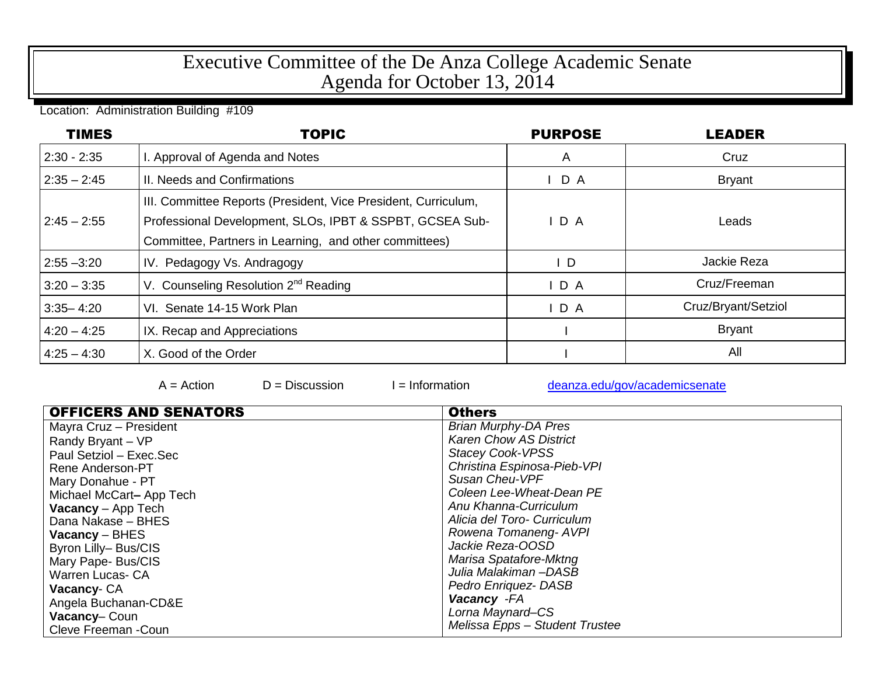## Executive Committee of the De Anza College Academic Senate Agenda for October 13, 2014

Location: Administration Building #109

| <b>TIMES</b>  | <b>TOPIC</b>                                                                                                                                                                         | <b>PURPOSE</b> | <b>LEADER</b>       |
|---------------|--------------------------------------------------------------------------------------------------------------------------------------------------------------------------------------|----------------|---------------------|
| $2:30 - 2:35$ | . Approval of Agenda and Notes                                                                                                                                                       | A              | Cruz                |
| $2:35 - 2:45$ | II. Needs and Confirmations                                                                                                                                                          | IDA            | <b>Bryant</b>       |
| $2:45 - 2:55$ | III. Committee Reports (President, Vice President, Curriculum,<br>Professional Development, SLOs, IPBT & SSPBT, GCSEA Sub-<br>Committee, Partners in Learning, and other committees) | D A            | Leads               |
| $2:55 - 3:20$ | IV. Pedagogy Vs. Andragogy                                                                                                                                                           | $\mathsf{I}$ D | Jackie Reza         |
| $3:20 - 3:35$ | V. Counseling Resolution 2 <sup>nd</sup> Reading                                                                                                                                     | D A            | Cruz/Freeman        |
| $3:35 - 4:20$ | VI. Senate 14-15 Work Plan                                                                                                                                                           | D A            | Cruz/Bryant/Setziol |
| $4:20 - 4:25$ | IX. Recap and Appreciations                                                                                                                                                          |                | <b>Bryant</b>       |
| $4:25 - 4:30$ | X. Good of the Order                                                                                                                                                                 |                | All                 |

 $A =$  Action  $D =$  Discussion I = Information [deanza.edu/gov/academicsenate](http://www.deanza.edu/gov/academicsenate)

| <b>OFFICERS AND SENATORS</b> | <b>Others</b>                  |
|------------------------------|--------------------------------|
| Mayra Cruz - President       | <b>Brian Murphy-DA Pres</b>    |
| Randy Bryant - VP            | <b>Karen Chow AS District</b>  |
| Paul Setziol - Exec.Sec      | <b>Stacey Cook-VPSS</b>        |
| Rene Anderson-PT             | Christina Espinosa-Pieb-VPI    |
| Mary Donahue - PT            | Susan Cheu-VPF                 |
| Michael McCart-App Tech      | Coleen Lee-Wheat-Dean PE       |
| <b>Vacancy</b> $-$ App Tech  | Anu Khanna-Curriculum          |
| Dana Nakase - BHES           | Alicia del Toro- Curriculum    |
| Vacancy – BHES               | Rowena Tomaneng- AVPI          |
| Byron Lilly-Bus/CIS          | Jackie Reza-OOSD               |
| Mary Pape- Bus/CIS           | Marisa Spatafore-Mktng         |
| <b>Warren Lucas- CA</b>      | Julia Malakiman-DASB           |
| Vacancy-CA                   | Pedro Enriquez-DASB            |
| Angela Buchanan-CD&E         | Vacancy - FA                   |
| <b>Vacancy-Coun</b>          | Lorna Maynard-CS               |
| Cleve Freeman -Coun          | Melissa Epps - Student Trustee |